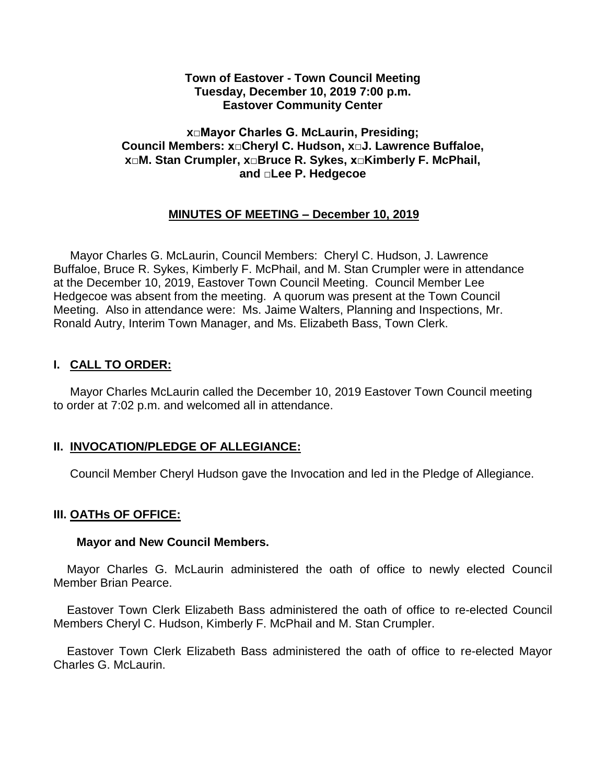### **Town of Eastover - Town Council Meeting Tuesday, December 10, 2019 7:00 p.m. Eastover Community Center**

## **x□Mayor Charles G. McLaurin, Presiding; Council Members: x□Cheryl C. Hudson, x□J. Lawrence Buffaloe, x□M. Stan Crumpler, x□Bruce R. Sykes, x□Kimberly F. McPhail, and □Lee P. Hedgecoe**

# **MINUTES OF MEETING – December 10, 2019**

 Mayor Charles G. McLaurin, Council Members: Cheryl C. Hudson, J. Lawrence Buffaloe, Bruce R. Sykes, Kimberly F. McPhail, and M. Stan Crumpler were in attendance at the December 10, 2019, Eastover Town Council Meeting. Council Member Lee Hedgecoe was absent from the meeting. A quorum was present at the Town Council Meeting. Also in attendance were: Ms. Jaime Walters, Planning and Inspections, Mr. Ronald Autry, Interim Town Manager, and Ms. Elizabeth Bass, Town Clerk.

# **I. CALL TO ORDER:**

 Mayor Charles McLaurin called the December 10, 2019 Eastover Town Council meeting to order at 7:02 p.m. and welcomed all in attendance.

## **II. INVOCATION/PLEDGE OF ALLEGIANCE:**

Council Member Cheryl Hudson gave the Invocation and led in the Pledge of Allegiance.

## **III. OATHs OF OFFICE:**

#### **Mayor and New Council Members.**

Mayor Charles G. McLaurin administered the oath of office to newly elected Council Member Brian Pearce.

Eastover Town Clerk Elizabeth Bass administered the oath of office to re-elected Council Members Cheryl C. Hudson, Kimberly F. McPhail and M. Stan Crumpler.

Eastover Town Clerk Elizabeth Bass administered the oath of office to re-elected Mayor Charles G. McLaurin.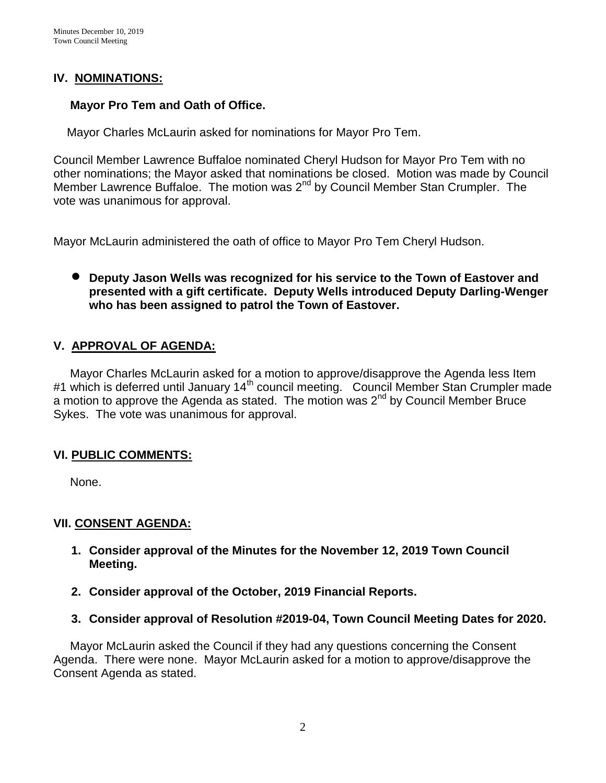# **IV. NOMINATIONS:**

# **Mayor Pro Tem and Oath of Office.**

Mayor Charles McLaurin asked for nominations for Mayor Pro Tem.

Council Member Lawrence Buffaloe nominated Cheryl Hudson for Mayor Pro Tem with no other nominations; the Mayor asked that nominations be closed. Motion was made by Council Member Lawrence Buffaloe. The motion was 2<sup>nd</sup> by Council Member Stan Crumpler. The vote was unanimous for approval.

Mayor McLaurin administered the oath of office to Mayor Pro Tem Cheryl Hudson.

# **Deputy Jason Wells was recognized for his service to the Town of Eastover and presented with a gift certificate. Deputy Wells introduced Deputy Darling-Wenger who has been assigned to patrol the Town of Eastover.**

# **V. APPROVAL OF AGENDA:**

 Mayor Charles McLaurin asked for a motion to approve/disapprove the Agenda less Item #1 which is deferred until January 14<sup>th</sup> council meeting. Council Member Stan Crumpler made a motion to approve the Agenda as stated. The motion was  $2^{nd}$  by Council Member Bruce Sykes. The vote was unanimous for approval.

## **VI. PUBLIC COMMENTS:**

None.

## **VII. CONSENT AGENDA:**

- **1. Consider approval of the Minutes for the November 12, 2019 Town Council Meeting.**
- **2. Consider approval of the October, 2019 Financial Reports.**
- **3. Consider approval of Resolution #2019-04, Town Council Meeting Dates for 2020.**

 Mayor McLaurin asked the Council if they had any questions concerning the Consent Agenda. There were none. Mayor McLaurin asked for a motion to approve/disapprove the Consent Agenda as stated.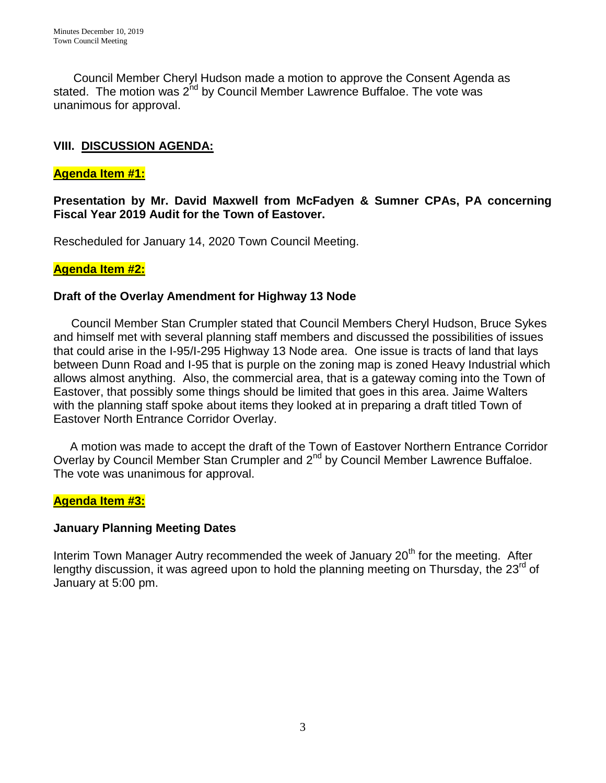Council Member Cheryl Hudson made a motion to approve the Consent Agenda as stated. The motion was 2<sup>nd</sup> by Council Member Lawrence Buffaloe. The vote was unanimous for approval.

# **VIII. DISCUSSION AGENDA:**

### **Agenda Item #1:**

**Presentation by Mr. David Maxwell from McFadyen & Sumner CPAs, PA concerning Fiscal Year 2019 Audit for the Town of Eastover.** 

Rescheduled for January 14, 2020 Town Council Meeting.

### **Agenda Item #2:**

## **Draft of the Overlay Amendment for Highway 13 Node**

Council Member Stan Crumpler stated that Council Members Cheryl Hudson, Bruce Sykes and himself met with several planning staff members and discussed the possibilities of issues that could arise in the I-95/I-295 Highway 13 Node area. One issue is tracts of land that lays between Dunn Road and I-95 that is purple on the zoning map is zoned Heavy Industrial which allows almost anything. Also, the commercial area, that is a gateway coming into the Town of Eastover, that possibly some things should be limited that goes in this area. Jaime Walters with the planning staff spoke about items they looked at in preparing a draft titled Town of Eastover North Entrance Corridor Overlay.

 A motion was made to accept the draft of the Town of Eastover Northern Entrance Corridor Overlay by Council Member Stan Crumpler and 2<sup>nd</sup> by Council Member Lawrence Buffaloe. The vote was unanimous for approval.

## **Agenda Item #3:**

#### **January Planning Meeting Dates**

Interim Town Manager Autry recommended the week of January 20<sup>th</sup> for the meeting. After lengthy discussion, it was agreed upon to hold the planning meeting on Thursday, the  $23<sup>rd</sup>$  of January at 5:00 pm.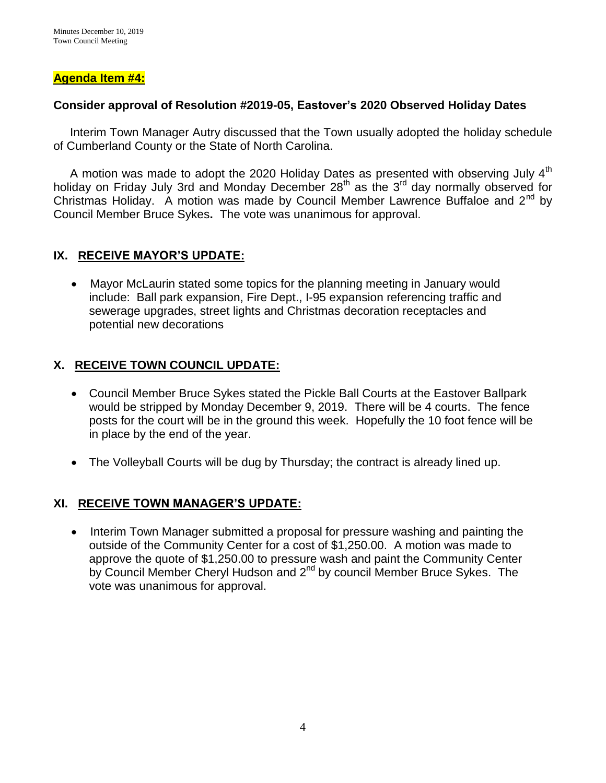## **Agenda Item #4:**

### **Consider approval of Resolution #2019-05, Eastover's 2020 Observed Holiday Dates**

 Interim Town Manager Autry discussed that the Town usually adopted the holiday schedule of Cumberland County or the State of North Carolina.

A motion was made to adopt the 2020 Holiday Dates as presented with observing July  $4<sup>th</sup>$ holiday on Friday July 3rd and Monday December 28<sup>th</sup> as the 3<sup>rd</sup> day normally observed for Christmas Holiday. A motion was made by Council Member Lawrence Buffaloe and 2<sup>nd</sup> by Council Member Bruce Sykes**.** The vote was unanimous for approval.

# **IX. RECEIVE MAYOR'S UPDATE:**

 Mayor McLaurin stated some topics for the planning meeting in January would include: Ball park expansion, Fire Dept., I-95 expansion referencing traffic and sewerage upgrades, street lights and Christmas decoration receptacles and potential new decorations

# **X. RECEIVE TOWN COUNCIL UPDATE:**

- Council Member Bruce Sykes stated the Pickle Ball Courts at the Eastover Ballpark would be stripped by Monday December 9, 2019. There will be 4 courts. The fence posts for the court will be in the ground this week. Hopefully the 10 foot fence will be in place by the end of the year.
- The Volleyball Courts will be dug by Thursday; the contract is already lined up.

## **XI. RECEIVE TOWN MANAGER'S UPDATE:**

• Interim Town Manager submitted a proposal for pressure washing and painting the outside of the Community Center for a cost of \$1,250.00. A motion was made to approve the quote of \$1,250.00 to pressure wash and paint the Community Center by Council Member Cheryl Hudson and 2<sup>nd</sup> by council Member Bruce Sykes. The vote was unanimous for approval.